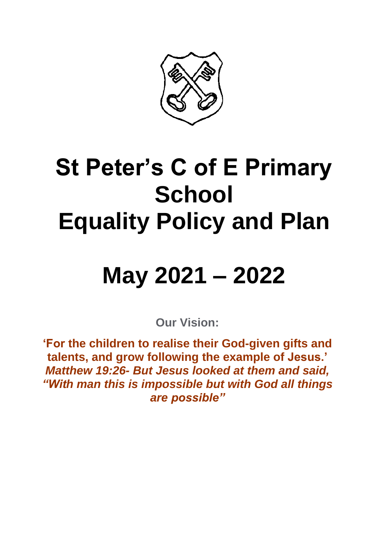

### **St Peter's C of E Primary School Equality Policy and Plan**

## **May 2021 – 2022**

**Our Vision:**

**'For the children to realise their God-given gifts and talents, and grow following the example of Jesus.'** *Matthew 19:26- But Jesus looked at them and said, "With man this is impossible but with God all things are possible"*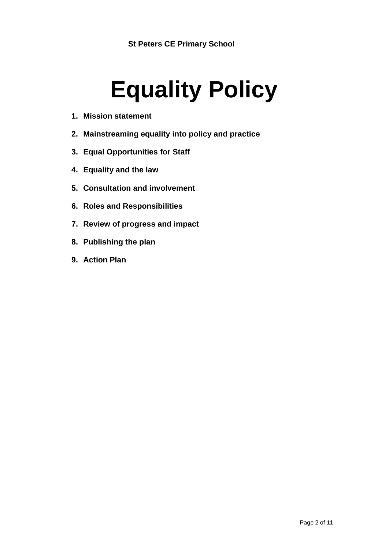# **Equality Policy**

- **1. Mission statement**
- **2. Mainstreaming equality into policy and practice**
- **3. Equal Opportunities for Staff**
- **4. Equality and the law**
- **5. Consultation and involvement**
- **6. Roles and Responsibilities**
- **7. Review of progress and impact**
- **8. Publishing the plan**
- **9. Action Plan**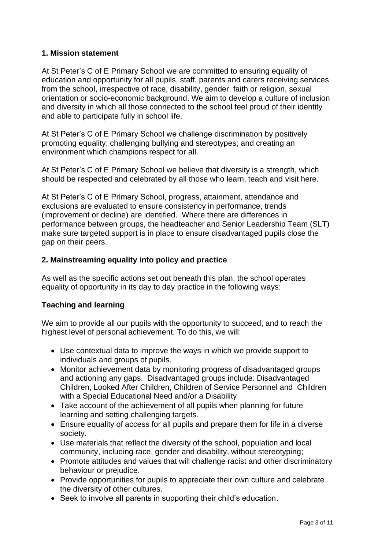#### **1. Mission statement**

At St Peter's C of E Primary School we are committed to ensuring equality of education and opportunity for all pupils, staff, parents and carers receiving services from the school, irrespective of race, disability, gender, faith or religion, sexual orientation or socio-economic background. We aim to develop a culture of inclusion and diversity in which all those connected to the school feel proud of their identity and able to participate fully in school life.

At St Peter's C of E Primary School we challenge discrimination by positively promoting equality; challenging bullying and stereotypes; and creating an environment which champions respect for all.

At St Peter's C of E Primary School we believe that diversity is a strength, which should be respected and celebrated by all those who learn, teach and visit here.

At St Peter's C of E Primary School, progress, attainment, attendance and exclusions are evaluated to ensure consistency in performance, trends (improvement or decline) are identified. Where there are differences in performance between groups, the headteacher and Senior Leadership Team (SLT) make sure targeted support is in place to ensure disadvantaged pupils close the gap on their peers.

#### **2. Mainstreaming equality into policy and practice**

As well as the specific actions set out beneath this plan, the school operates equality of opportunity in its day to day practice in the following ways:

#### **Teaching and learning**

We aim to provide all our pupils with the opportunity to succeed, and to reach the highest level of personal achievement. To do this, we will:

- Use contextual data to improve the ways in which we provide support to individuals and groups of pupils.
- Monitor achievement data by monitoring progress of disadvantaged groups and actioning any gaps. Disadvantaged groups include: Disadvantaged Children, Looked After Children, Children of Service Personnel and Children with a Special Educational Need and/or a Disability
- Take account of the achievement of all pupils when planning for future learning and setting challenging targets.
- Ensure equality of access for all pupils and prepare them for life in a diverse society.
- Use materials that reflect the diversity of the school, population and local community, including race, gender and disability, without stereotyping;
- Promote attitudes and values that will challenge racist and other discriminatory behaviour or prejudice.
- Provide opportunities for pupils to appreciate their own culture and celebrate the diversity of other cultures.
- Seek to involve all parents in supporting their child's education.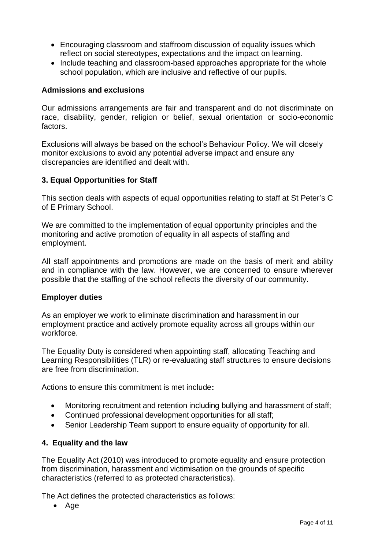- Encouraging classroom and staffroom discussion of equality issues which reflect on social stereotypes, expectations and the impact on learning.
- Include teaching and classroom-based approaches appropriate for the whole school population, which are inclusive and reflective of our pupils.

#### **Admissions and exclusions**

Our admissions arrangements are fair and transparent and do not discriminate on race, disability, gender, religion or belief, sexual orientation or socio-economic factors.

Exclusions will always be based on the school's Behaviour Policy. We will closely monitor exclusions to avoid any potential adverse impact and ensure any discrepancies are identified and dealt with.

#### **3. Equal Opportunities for Staff**

This section deals with aspects of equal opportunities relating to staff at St Peter's C of E Primary School.

We are committed to the implementation of equal opportunity principles and the monitoring and active promotion of equality in all aspects of staffing and employment.

All staff appointments and promotions are made on the basis of merit and ability and in compliance with the law. However, we are concerned to ensure wherever possible that the staffing of the school reflects the diversity of our community.

#### **Employer duties**

As an employer we work to eliminate discrimination and harassment in our employment practice and actively promote equality across all groups within our workforce.

The Equality Duty is considered when appointing staff, allocating Teaching and Learning Responsibilities (TLR) or re-evaluating staff structures to ensure decisions are free from discrimination.

Actions to ensure this commitment is met include**:** 

- Monitoring recruitment and retention including bullying and harassment of staff;
- Continued professional development opportunities for all staff;
- Senior Leadership Team support to ensure equality of opportunity for all.

#### **4. Equality and the law**

The Equality Act (2010) was introduced to promote equality and ensure protection from discrimination, harassment and victimisation on the grounds of specific characteristics (referred to as protected characteristics).

The Act defines the protected characteristics as follows:

• Age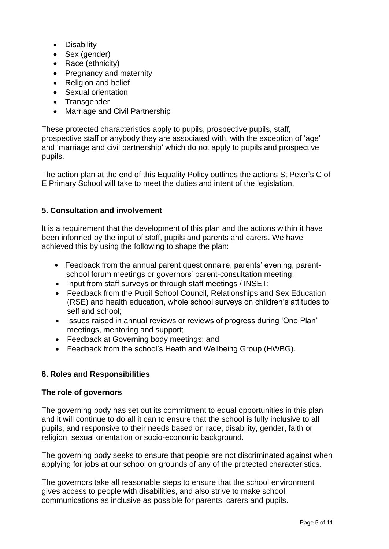- Disability
- Sex (gender)
- Race (ethnicity)
- Pregnancy and maternity
- Religion and belief
- Sexual orientation
- Transgender
- Marriage and Civil Partnership

These protected characteristics apply to pupils, prospective pupils, staff, prospective staff or anybody they are associated with, with the exception of 'age' and 'marriage and civil partnership' which do not apply to pupils and prospective pupils.

The action plan at the end of this Equality Policy outlines the actions St Peter's C of E Primary School will take to meet the duties and intent of the legislation.

#### **5. Consultation and involvement**

It is a requirement that the development of this plan and the actions within it have been informed by the input of staff, pupils and parents and carers. We have achieved this by using the following to shape the plan:

- Feedback from the annual parent questionnaire, parents' evening, parentschool forum meetings or governors' parent-consultation meeting;
- Input from staff surveys or through staff meetings / INSET;
- Feedback from the Pupil School Council, Relationships and Sex Education (RSE) and health education, whole school surveys on children's attitudes to self and school;
- Issues raised in annual reviews or reviews of progress during 'One Plan' meetings, mentoring and support;
- Feedback at Governing body meetings; and
- Feedback from the school's Heath and Wellbeing Group (HWBG).

#### **6. Roles and Responsibilities**

#### **The role of governors**

The governing body has set out its commitment to equal opportunities in this plan and it will continue to do all it can to ensure that the school is fully inclusive to all pupils, and responsive to their needs based on race, disability, gender, faith or religion, sexual orientation or socio-economic background.

The governing body seeks to ensure that people are not discriminated against when applying for jobs at our school on grounds of any of the protected characteristics.

The governors take all reasonable steps to ensure that the school environment gives access to people with disabilities, and also strive to make school communications as inclusive as possible for parents, carers and pupils.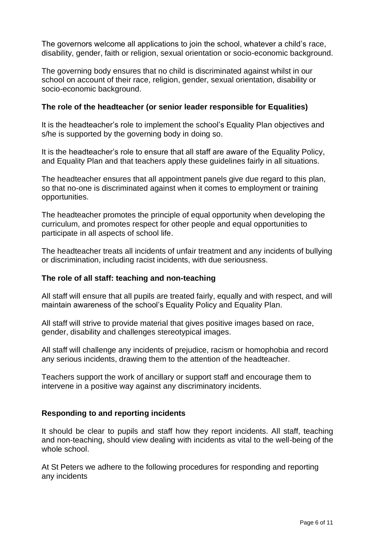The governors welcome all applications to join the school, whatever a child's race, disability, gender, faith or religion, sexual orientation or socio-economic background.

The governing body ensures that no child is discriminated against whilst in our school on account of their race, religion, gender, sexual orientation, disability or socio-economic background.

#### **The role of the headteacher (or senior leader responsible for Equalities)**

It is the headteacher's role to implement the school's Equality Plan objectives and s/he is supported by the governing body in doing so.

It is the headteacher's role to ensure that all staff are aware of the Equality Policy, and Equality Plan and that teachers apply these guidelines fairly in all situations.

The headteacher ensures that all appointment panels give due regard to this plan, so that no-one is discriminated against when it comes to employment or training opportunities.

The headteacher promotes the principle of equal opportunity when developing the curriculum, and promotes respect for other people and equal opportunities to participate in all aspects of school life.

The headteacher treats all incidents of unfair treatment and any incidents of bullying or discrimination, including racist incidents, with due seriousness.

#### **The role of all staff: teaching and non-teaching**

All staff will ensure that all pupils are treated fairly, equally and with respect, and will maintain awareness of the school's Equality Policy and Equality Plan.

All staff will strive to provide material that gives positive images based on race, gender, disability and challenges stereotypical images.

All staff will challenge any incidents of prejudice, racism or homophobia and record any serious incidents, drawing them to the attention of the headteacher.

Teachers support the work of ancillary or support staff and encourage them to intervene in a positive way against any discriminatory incidents.

#### **Responding to and reporting incidents**

It should be clear to pupils and staff how they report incidents. All staff, teaching and non-teaching, should view dealing with incidents as vital to the well-being of the whole school.

At St Peters we adhere to the following procedures for responding and reporting any incidents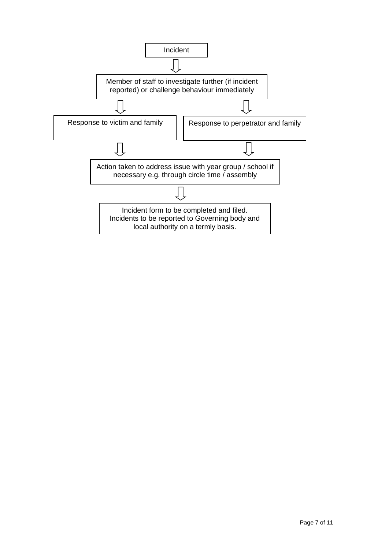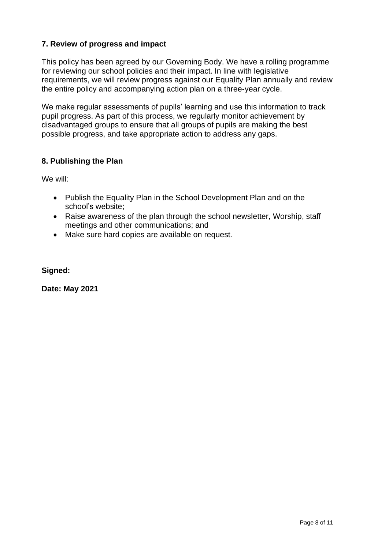#### **7. Review of progress and impact**

This policy has been agreed by our Governing Body. We have a rolling programme for reviewing our school policies and their impact. In line with legislative requirements, we will review progress against our Equality Plan annually and review the entire policy and accompanying action plan on a three-year cycle.

We make regular assessments of pupils' learning and use this information to track pupil progress. As part of this process, we regularly monitor achievement by disadvantaged groups to ensure that all groups of pupils are making the best possible progress, and take appropriate action to address any gaps.

#### **8. Publishing the Plan**

We will:

- Publish the Equality Plan in the School Development Plan and on the school's website;
- Raise awareness of the plan through the school newsletter, Worship, staff meetings and other communications; and
- Make sure hard copies are available on request.

**Signed:**

**Date: May 2021**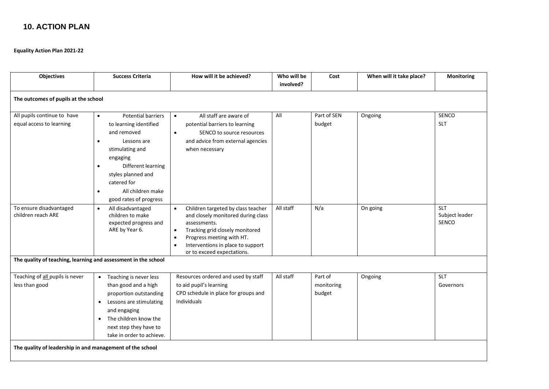#### **10. ACTION PLAN**

**Equality Action Plan 2021-22**

| <b>Objectives</b>                                              | <b>Success Criteria</b>                                                                                                                                                                                                                                           | How will it be achieved?                                                                                                                                                                                                                              | Who will be<br>involved? | Cost                            | When will it take place? | <b>Monitoring</b>                     |  |  |  |  |
|----------------------------------------------------------------|-------------------------------------------------------------------------------------------------------------------------------------------------------------------------------------------------------------------------------------------------------------------|-------------------------------------------------------------------------------------------------------------------------------------------------------------------------------------------------------------------------------------------------------|--------------------------|---------------------------------|--------------------------|---------------------------------------|--|--|--|--|
| The outcomes of pupils at the school                           |                                                                                                                                                                                                                                                                   |                                                                                                                                                                                                                                                       |                          |                                 |                          |                                       |  |  |  |  |
| All pupils continue to have<br>equal access to learning        | <b>Potential barriers</b><br>$\bullet$<br>to learning identified<br>and removed<br>Lessons are<br>$\bullet$<br>stimulating and<br>engaging<br>Different learning<br>styles planned and<br>catered for<br>All children make<br>$\bullet$<br>good rates of progress | All staff are aware of<br>$\bullet$<br>potential barriers to learning<br>SENCO to source resources<br>$\bullet$<br>and advice from external agencies<br>when necessary                                                                                | All                      | Part of SEN<br>budget           | Ongoing                  | SENCO<br><b>SLT</b>                   |  |  |  |  |
| To ensure disadvantaged<br>children reach ARE                  | All disadvantaged<br>$\bullet$<br>children to make<br>expected progress and<br>ARE by Year 6.                                                                                                                                                                     | Children targeted by class teacher<br>$\bullet$<br>and closely monitored during class<br>assessments.<br>Tracking grid closely monitored<br>$\bullet$<br>Progress meeting with HT.<br>Interventions in place to support<br>or to exceed expectations. | All staff                | N/a                             | On going                 | <b>SLT</b><br>Subject leader<br>SENCO |  |  |  |  |
| The quality of teaching, learning and assessment in the school |                                                                                                                                                                                                                                                                   |                                                                                                                                                                                                                                                       |                          |                                 |                          |                                       |  |  |  |  |
| Teaching of all pupils is never<br>less than good              | Teaching is never less<br>$\bullet$<br>than good and a high<br>proportion outstanding<br>Lessons are stimulating<br>$\bullet$<br>and engaging<br>The children know the<br>next step they have to<br>take in order to achieve.                                     | Resources ordered and used by staff<br>to aid pupil's learning<br>CPD schedule in place for groups and<br><b>Individuals</b>                                                                                                                          | All staff                | Part of<br>monitoring<br>budget | Ongoing                  | <b>SLT</b><br>Governors               |  |  |  |  |
| The quality of leadership in and management of the school      |                                                                                                                                                                                                                                                                   |                                                                                                                                                                                                                                                       |                          |                                 |                          |                                       |  |  |  |  |